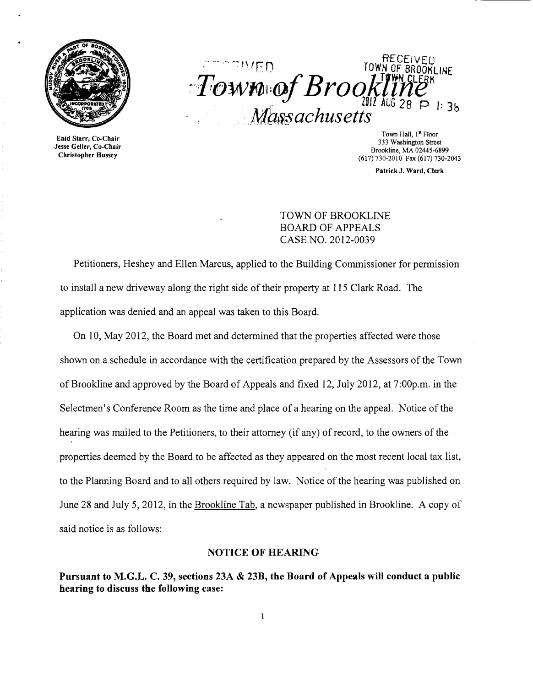



Town Hall, 1<sup>st</sup> Floor<br>333 Washington Street Starr, Co-Chair Town Hall, 1<sup>st</sup> Floor Hall, 1st<br>
1933 Washington Street 333 Washington Street<br>
2333 Washington Street Brookline, MA 02445-6899<br>
2617) 730-2010 Fax (617) 730-2043

Patrick J. Ward, Clerk

TOWN OF BROOKLINE BOARD OF APPEALS CASE NO. 2012-0039

Petitioners, Heshey and Ellen Marcus, applied to the Building Commissioner for permission to install a new driveway along the right side of their property at 115 Clark Road. The application was denied and an appeal was taken to this Board.

On 10, May 2012, the Board met and determined that the properties affected were those shown on a schedule in accordance with the certification prepared by the Assessors of the Town of Brookline and approved by the Board of Appeals and fixed 12, July 2012, at 7:00p.m. in the Selectmen's Conference Room as the time and place of a hearing on the appeal. Notice of the hearing was mailed to the Petitioners, to their attorney (if any) of record, to the owners of the properties deemed by the Board to be affected as they appeared on the most recent local tax list, to the Planning Board and to all others required by law. Notice of the hearing was published on June 28 and July 5, 2012, in the Brookline Tab, a newspaper published in Brookline. A copy of said notice is as follows:

#### NOTICE OF HEARING

Pursuant to M.G.L. C. 39, sections 23A & 23B, the Board of Appeals will conduct a public hearing to discuss the following case: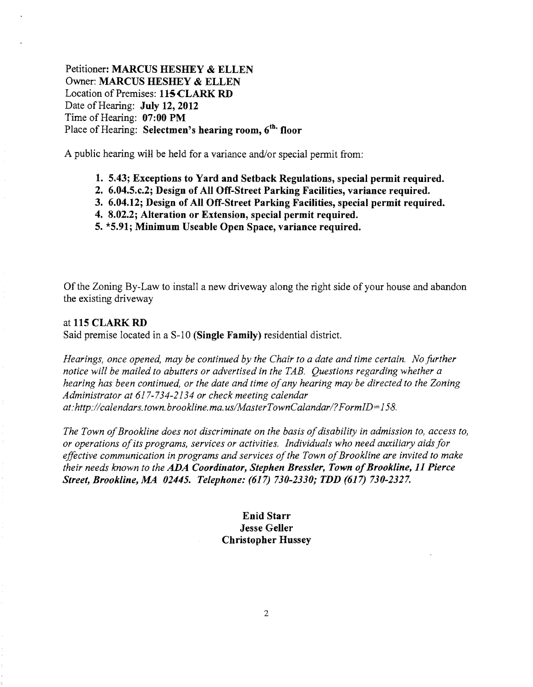Petitioner: MARCUS HESHEY & ELLEN Owner: MARCUS HESHEY & ELLEN Location of Premises: 115 CLARK RD Date of Hearing: July 12, 2012 Time of Hearing: 07:00 PM Place of Hearing: Selectmen's hearing room, 6<sup>th</sup> floor

A public hearing will be held for a variance and/or special permit from:

- 1. 5.43; Exceptions to Yard and Setback Regulations, special permit required.
- 2. 6.04.5.c.2; Design of All Off-Street Parking Facilities, variance required.
- 3. 6.04.12; Design of All Off-Street Parking Facilities, special permit required.
- 4. 8.02.2; Alteration or Extension, special permit required.
- 5. \*5.91; Minimum Useable Open Space, variance required.

Of the Zoning By-Law to install a new driveway along the right side of your house and abandon the existing driveway

### at 115 CLARK RD

Said premise located in a S-10 (Single Family) residential district.

*Hearings, once opened, may be continued by the Chair to a date and time certain. No further notice will be mailed to abutters or advertised in the TAB. Questions regarding whether a hearing has been continued, or the date and time of any hearing may be directed to the Zoning Administrator at* 617-734-2134 *or check meeting calendar at:http://calendars. town. brookline. ma. uslMaster Town Calandar! ?FormID=158.* 

*The Town of Brookline does not discriminate on the basis of disability in admission to, access to, or operations ofits programs, services or activities. Individuals who need auxiliary aids for*  effective communication in programs and services of the Town of Brookline are invited to make *their needs known to the ADA Coordinator, Stephen Bressler, Town of Brookline, 11 Pierce Street, Brookline,.MA 02445. Telephone:* (617) *730-2330; TDD* (617) *730-2327.* 

# Enid Starr Jesse Geller Christopher Hussey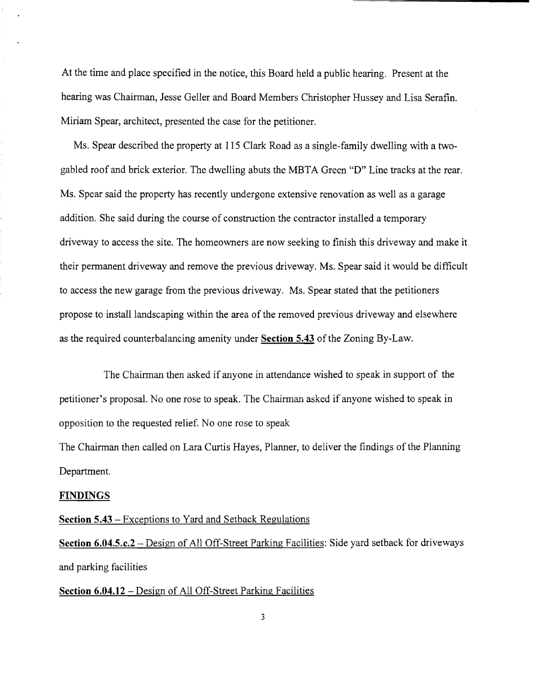At the time and place specified in the notice, this Board held a public hearing. Present at the hearing was Chairman, Jesse Geller and Board Members Christopher Hussey and Lisa Serafin. Miriam Spear, architect, presented the case for the petitioner.

Ms. Spear described the property at 115 Clark Road as a single-family dwelling with a twogabled roof and brick exterior. The dwelling abuts the MBTA Green "D" Line tracks at the rear. Ms. Spear said the property has recently undergone extensive renovation as well as a garage addition. She said during the course of construction the contractor installed a temporary driveway to access the site. The homeowners are now seeking to finish this driveway and make it their permanent driveway and remove the previous driveway. Ms. Spear said it would be difficult to access the new garage from the previous driveway. Ms. Spear stated that the petitioners propose to install landscaping within the area of the removed previous driveway and elsewhere as the required counterbalancing amenity under **Section 5.43** ofthe Zoning By-Law.

The Chairman then asked if anyone in attendance wished to speak in support of the petitioner's proposal. No one rose to speak. The Chairman asked if anyone wished to speak in opposition to the requested relief. No one rose to speak

The Chairman then called on Lara Curtis Hayes, Planner, to deliver the findings of the Planning Department.

#### **FINDINGS**

## **Section 5.43** - Exceptions to Yard and Setback Regulations

Section 6.04.5.c.2 – Design of All Off-Street Parking Facilities: Side yard setback for driveways and parking facilities

# **Section 6.04.12 – Design of All Off-Street Parking Facilities**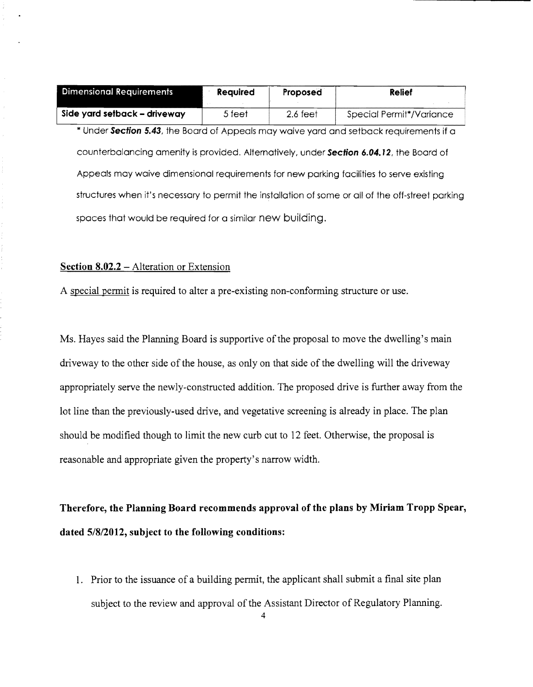| Dimensional Requirements ,   | Reauired | Proposed           | Relief                   |
|------------------------------|----------|--------------------|--------------------------|
|                              |          |                    |                          |
| Side yard setback - driveway | 5 feet   | $2.6 \text{ feet}$ | Special Permit*/Variance |

\* Under **Section** 5.43, the Board of Appeals may waive yard and setback requirements if a counterbalancing amenity is provided. Alternatively, under **Section 6.04.12,** the Board of Appeals may waive dimensional requirements for new parking facilities to serve existing structures when it's necessary to permit the installation of some or all of the off-street parking spaces that would be required for a similar new building.

### **Section 8.02.2 -** Alteration or Extension

A special permit is required to alter a pre-existing non-conforming structure or use.

Ms. Hayes said the Planning Board is supportive of the proposal to move the dwelling's main driveway to the other side of the house, as only on that side of the dwelling will the driveway appropriately serve the newly-constructed addition. The proposed drive is further away from the lot line than the previously-used drive, and vegetative screening is already in place. The plan should be modified though to limit the new curb cut to 12 feet. Otherwise, the proposal is reasonable and appropriate given the property's narrow width.

**Therefore, the Planning Board recommends approval of the plans by Miriam Tropp Spear, dated 5/8/2012, subject to the following conditions:** 

1. Prior to the issuance of a building permit, the applicant shall submit a final site plan subject to the review and approval of the Assistant Director of Regulatory Planning.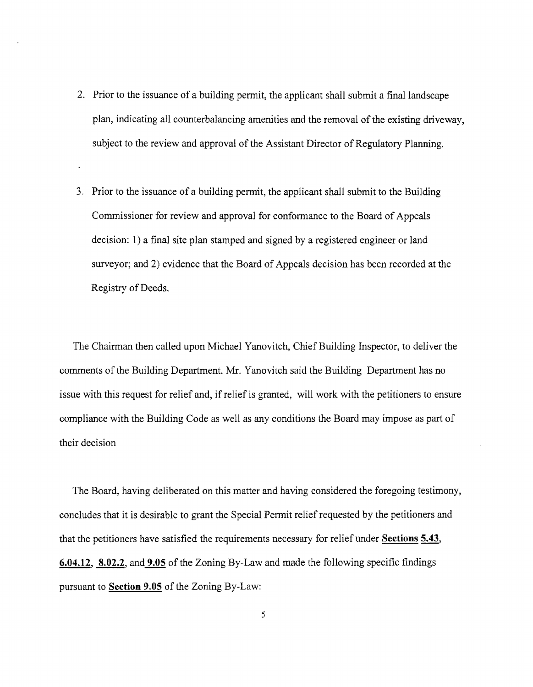- 2. Prior to the issuance of a building permit, the applicant shall submit a final landscape plan, indicating all counterbalancing amenities and the removal of the existing driveway, subject to the review and approval of the Assistant Director of Regulatory Planning.
- 3. Prior to the issuance of a building permit, the applicant shall submit to the Building Commissioner for review and approval for conformance to the Board of Appeals decision: 1) a final site plan stamped and signed by a registered engineer or land surveyor; and 2) evidence that the Board of Appeals decision has been recorded at the Registry of Deeds.

The Chairman then called upon Michael Yanovitch, Chief Building Inspector, to deliver the comments of the Building Department. Mr. Yanovitch said the Building Department has no issue with this request for relief and, ifrelief is granted, will work with the petitioners to ensure compliance with the Building Code as well as any conditions the Board may impose as part of their decision

The Board, having deliberated on this matter and having considered the foregoing testimony, concludes that it is desirable to grant the Special Pennit relief requested by the petitioners and that the petitioners have satisfied the requirements necessary for relief under Sections 5.43, 6.04.12, 8.02.2, and 9.05 of the Zoning By-Law and made the following specific findings pursuant to Section 9.05 of the Zoning By-Law: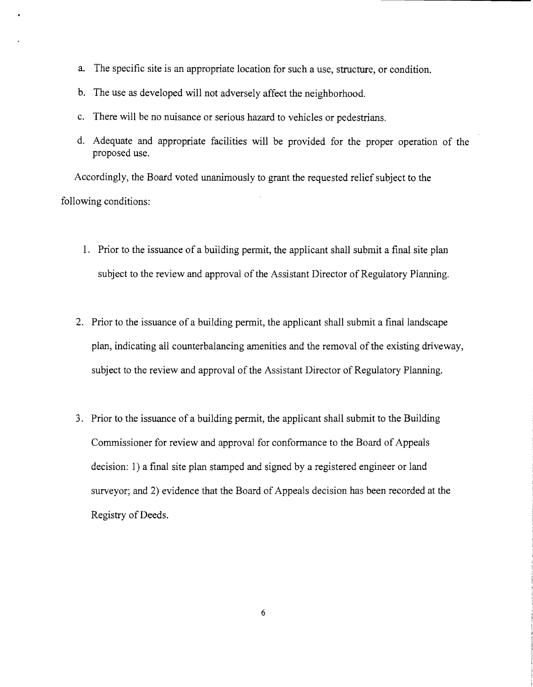- a. The specific site is an appropriate location for such a use, structure, or condition.
- b. The use as developed will not adversely affect the neighborhood.
- c. There will be no nuisance or serious hazard to vehicles or pedestrians.
- d. Adequate and appropriate facilities will be provided for the proper operation of the proposed use.

Accordingly, the Board voted unanimously to grant the requested relief subject to the following conditions:

- 1. Prior to the issuance of a building permit, the applicant shall submit a final site plan subject to the review and approval of the Assistant Director of Regulatory Planning.
- 2. Prior to the issuance of a building permit, the applicant shall submit a final landscape plan, indicating all counterbalancing amenities and the removal ofthe existing driveway, subject to the review and approval of the Assistant Director of Regulatory Planning.
- 3. Prior to the issuance of a building permit, the applicant shall submit to the Building Commissioner for review and approval for conformance to the Board of Appeals decision: 1) a final site plan stamped and signed by a registered engineer or land surveyor; and 2) evidence that the Board of Appeals decision has been recorded at the Registry of Deeds.